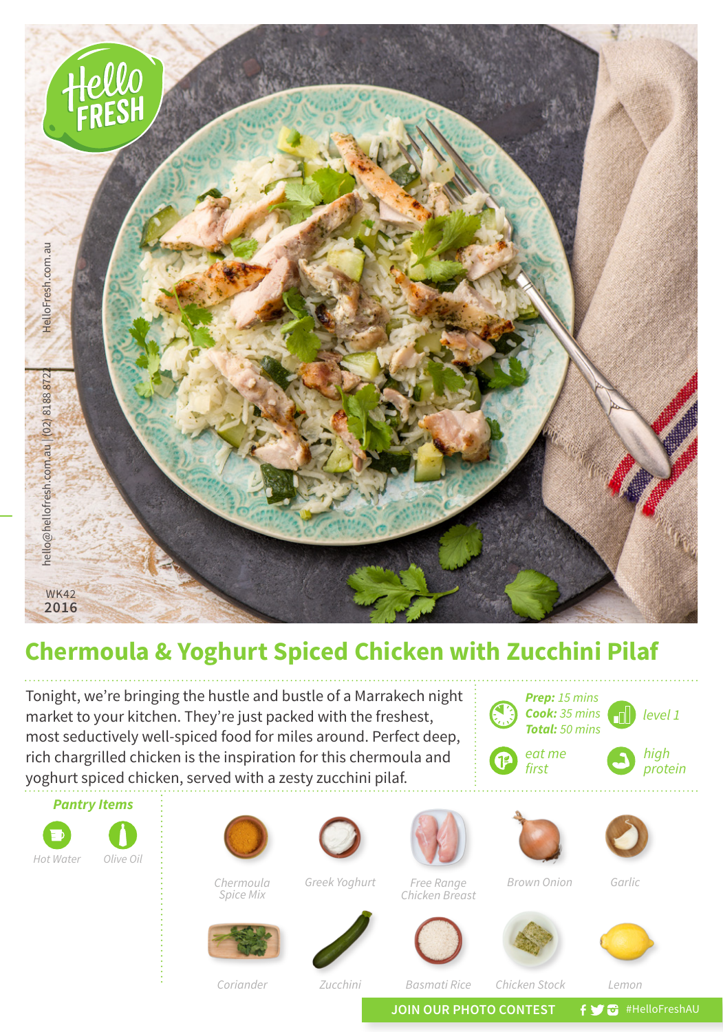

## **Chermoula & Yoghurt Spiced Chicken with Zucchini Pilaf**

Tonight, we're bringing the hustle and bustle of a Marrakech night market to your kitchen. They're just packed with the freshest, most seductively well-spiced food for miles around. Perfect deep, rich chargrilled chicken is the inspiration for this chermoula and yoghurt spiced chicken, served with a zesty zucchini pilaf.

*Pantry Items*

*Hot Water Olive Oil*





*Greek Yoghurt Brown Onion Garlic Free Range Chicken Breast*



*Chermoula Spice Mix*













*Coriander*

*Zucchini Basmati Rice Chicken Stock Lemon*

JOIN OUR PHOTO CONTEST **f y** a #HelloFreshAU